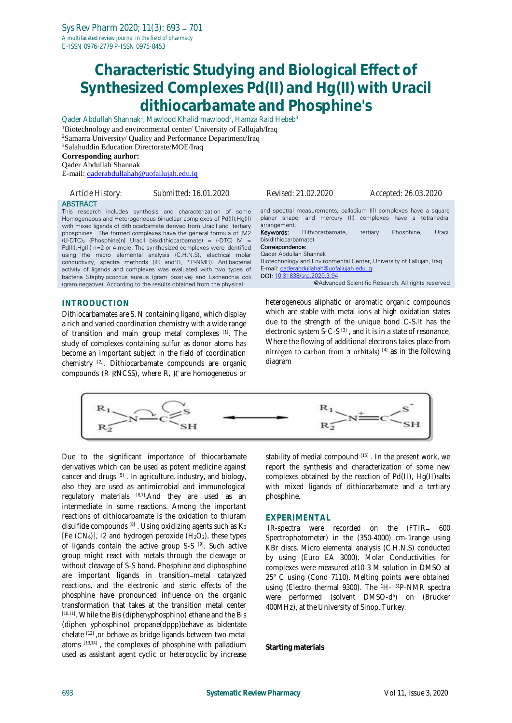# **Characteristic Studying and Biological Effect of Synthesized Complexes Pd(II) and Hg(II) with Uracil dithiocarbamate and Phosphine's**

Qader Abdullah Shannak<sup>1</sup>, Mawlood Khalid mawlood<sup>2</sup>, Hamza Raid Hebeb<sup>3</sup> <sup>1</sup>Biotechnology and environmental center/ University of Fallujah/Iraq <sup>2</sup>Samarra University/ Quality and Performance Department/Iraq <sup>3</sup>Salahuddin Education Directorate/MOE/Iraq **Corresponding aurhor:**

Qader Abdullah Shannak

E-mail: [qaderabdullahah@uofallujah.edu.iq](mailto:qaderabdullahah@uofallujah.edu.iq)

| Article History: | Submitted: 16.01.2020                                                                                                                                                                                                                                                                                                                                                                                                                                                                                                                                                                                                                                                                                                                             | Revised: 21.02.2020                                                                                                                                                                                                                                                    | Accepted: 26.03.2020                                                                                                                                                                                                       |
|------------------|---------------------------------------------------------------------------------------------------------------------------------------------------------------------------------------------------------------------------------------------------------------------------------------------------------------------------------------------------------------------------------------------------------------------------------------------------------------------------------------------------------------------------------------------------------------------------------------------------------------------------------------------------------------------------------------------------------------------------------------------------|------------------------------------------------------------------------------------------------------------------------------------------------------------------------------------------------------------------------------------------------------------------------|----------------------------------------------------------------------------------------------------------------------------------------------------------------------------------------------------------------------------|
| <b>ABSTRACT</b>  | This research includes synthesis and characterization of some<br>Homogeneous and Heterogeneous binuclear complexes of Pd(II), Hg(II)<br>with mixed ligands of dithiocarbamate derived from Uracil and tertiary<br>phosphines. The formed complexes have the general formula of [M2]<br>$(U-DTC)$ , (Phosphine)n] Uracil bis(dithiocarbamate) = $(-DTC)$ M =<br>Pd(II), Hg(II) n=2 or 4 mole. The synthesized complexes were identified<br>using the micro elemental analysis (C.H.N.S), electrical molar<br>conductivity, spectra methods (IR and <sup>1</sup> H, <sup>31</sup> P-NMR). Antibacterial<br>activity of ligands and complexes was evaluated with two types of<br>bacteria Staphylococcus aureus (gram positive) and Escherichia coli | arrangement.<br>Dithiocarbamate,<br>Keywords:<br>bis(dithiocarbamate)<br>Correspondence:<br>Qader Abdullah Shannak<br>Biotechnology and Environmental Center, University of Fallujah, Iraq<br>E-mail: gaderabdullahah@uofallujah.edu.ig<br>DOI: 10.31838/srp.2020.3.94 | and spectral measurements, palladium (II) complexes have a square<br>planer shape, and mercury (II) complexes have a tetrahedral<br>Phosphine,<br>Uracil<br>tertiary<br>@Advanced Scientific Research. All rights reserved |
|                  | (gram negative). According to the results obtained from the physical                                                                                                                                                                                                                                                                                                                                                                                                                                                                                                                                                                                                                                                                              |                                                                                                                                                                                                                                                                        |                                                                                                                                                                                                                            |
| INTRODUCTION     | Dithiocarbamates are S, N containing ligand, which display                                                                                                                                                                                                                                                                                                                                                                                                                                                                                                                                                                                                                                                                                        |                                                                                                                                                                                                                                                                        | heterogeneous aliphatic or aromatic organic compounds<br>which are stable with metal ions at high oxidation states                                                                                                         |

a rich and varied coordination chemistry with a wide range of transition and main group metal complexes [1]. The study of complexes containing sulfur as donor atoms has become an important subject in the field of coordination chemistry [2,]. Dithiocarbamate compounds are organic compounds ( $R$   $RNCSS$ ), where  $R$ ,  $R$  are homogeneous or

which are stable with metal ions at high oxidation states due to the strength of the unique bond C-S.It has the electronic system S-C-S [3], and it is in a state of resonance, Where the flowing of additional electrons takes place from nitrogen to carbon from  $\pi$  orbitals) [4] as in the following diagram



Due to the significant importance of thiocarbamate derivatives which can be used as potent medicine against cancer and drugs [5] . In agriculture, industry, and biology, also they are used as antimicrobial and immunological regulatory materials  $[6,7]$ . And they are used as an intermediate in some reactions. Among the important reactions of dithiocarbamate is the oxidation to thiuram disulfide compounds  $[8]$ . Using oxidizing agents such as  $K_3$ [Fe  $(CN_6)$ ], 12 and hydrogen peroxide  $(H_2O_2)$ , these types of ligands contain the active group S-S [9]. Such active group might react with metals through the cleavage or without cleavage of S-S bond. Phosphine and diphosphine are important ligands in transition-metal catalyzed reactions, and the electronic and steric effects of the phosphine have pronounced influence on the organic transformation that takes at the transition metal center [10,11]. While the Bis (diphenyphosphino) ethane and the Bis (diphen yphosphino) propane(dppp)behave as bidentate chelate [12] ,or behave as bridge ligands between two metal atoms  $[13,14]$ , the complexes of phosphine with palladium used as assistant agent cyclic or heterocyclic by increase stability of medial compound [15]. In the present work, we report the synthesis and characterization of some new complexes obtained by the reaction of Pd(II), Hg(II)salts with mixed ligands of dithiocarbamate and a tertiary phosphine.

#### **EXPERIMENTAL**

IR-spectra were recorded on the (FTIR- 600 Spectrophotometer) in the (350-4000) cm-1range using KBr discs. Micro elemental analysis (C.H.N.S) conducted by using (Euro EA 3000). Molar Conductivities for complexes were measured at10-3 M solution in DMSO at 25° C using (Cond 7110). Melting points were obtained using (Electro thermal 9300). The 1H-<sup>31</sup>P-NMR spectra were performed (solvent DMSO-d 6 ) on (Brucker 400MHz), at the University of Sinop, Turkey.

**Starting materials**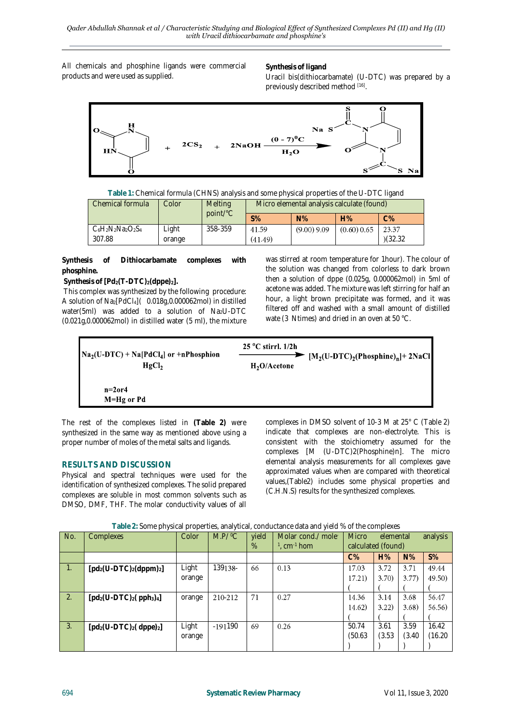All chemicals and phosphine ligands were commercial products and were used as supplied.

**Synthesis of ligand** Uracil bis(dithiocarbamate) (U-DTC) was prepared by a previously described method [16].



| Table 1: Chemical formula (CHNS) analysis and some physical properties of the U-DTC ligand |  |  |  |
|--------------------------------------------------------------------------------------------|--|--|--|
|--------------------------------------------------------------------------------------------|--|--|--|

| Chemical formula      | Colorl | <b>Melting</b><br>point/°C | Micro elemental analysis calculate (found) |               |               |         |  |
|-----------------------|--------|----------------------------|--------------------------------------------|---------------|---------------|---------|--|
|                       |        |                            | $S\%$                                      | $N\%$         | H%            | $C\%$   |  |
| $C_6H_2N_2Na_2O_2S_4$ | ∟ight  | 358-359                    | 41.59                                      | $(9.00)$ 9.09 | $(0.60)$ 0.65 | 23.37   |  |
| 307.88                | orange |                            | (41.49)                                    |               |               | (32.32) |  |

**Synthesis of Dithiocarbamate complexes with phosphine.**

**Synthesis of [Pd2(T-DTC)2(dppe)2].**

This complex was synthesized by the following procedure: A solution of Na2[PdCl4]( 0.018g,0.000062mol) in distilled water(5ml) was added to a solution of Na<sub>2</sub>U-DTC (0.021g,0.000062mol) in distilled water (5 ml), the mixture was stirred at room temperature for 1hour). The colour of the solution was changed from colorless to dark brown then a solution of dppe (0.025g, 0.000062mol) in 5ml of acetone was added. The mixture was left stirring for half an hour, a light brown precipitate was formed, and it was filtered off and washed with a small amount of distilled wate (3 Ntimes) and dried in an oven at 50 °C.



The rest of the complexes listed in **(Table 2)** were synthesized in the same way as mentioned above using a proper number of moles of the metal salts and ligands.

## **RESULTS AND DISCUSSION**

Physical and spectral techniques were used for the identification of synthesized complexes. The solid prepared complexes are soluble in most common solvents such as DMSO, DMF, THF. The molar conductivity values of all complexes in DMSO solvent of 10-3 M at 25° C (Table 2) indicate that complexes are non-electrolyte. This is consistent with the stoichiometry assumed for the complexes [M (U-DTC)2(Phosphine)n]. The micro elemental analysis measurements for all complexes gave approximated values when are compared with theoretical values,(Table2) includes some physical properties and (C.H.N.S) results for the synthesized complexes.

| No.              | Complexes                  | Color  | $M.P/{}^{0}C$ | yield<br>% | Molar cond./ mole-<br>$1$ , cm $^{-1}$ hom | <b>Micro</b><br>calculated (found) | elemental |        | analysis |
|------------------|----------------------------|--------|---------------|------------|--------------------------------------------|------------------------------------|-----------|--------|----------|
|                  |                            |        |               |            |                                            | $C\%$                              | H%        | $N\%$  | $S\%$    |
| $\overline{1}$ . | $[pd_2(U-DTC)_2(dppm)_2]$  | Light  | 139138-       | 66         | 0.13                                       | 17.03                              | 3.72      | 3.71   | 49.44    |
|                  |                            | orange |               |            |                                            | 17.21)                             | 3.70)     | 3.77)  | 49.50)   |
|                  |                            |        |               |            |                                            |                                    |           |        |          |
| $\overline{2}$ . | $[pd_2(U-DTC)_2(pph_3)_4]$ | orange | 210-212       | 71         | 0.27                                       | 14.36                              | 3.14      | 3.68   | 56.47    |
|                  |                            |        |               |            |                                            | 14.62)                             | 3.22)     | 3.68   | 56.56)   |
|                  |                            |        |               |            |                                            |                                    |           |        |          |
| 3.               | $[pd_2(U-DTC)_2(dppe)_2]$  | Light  | $-191190$     | 69         | 0.26                                       | 50.74                              | 3.61      | 3.59   | 16.42    |
|                  |                            | orange |               |            |                                            | (50.63)                            | (3.53)    | (3.40) | (16.20)  |
|                  |                            |        |               |            |                                            |                                    |           |        |          |

**Table 2:** Some physical properties, analytical, conductance data and yield % of the complexes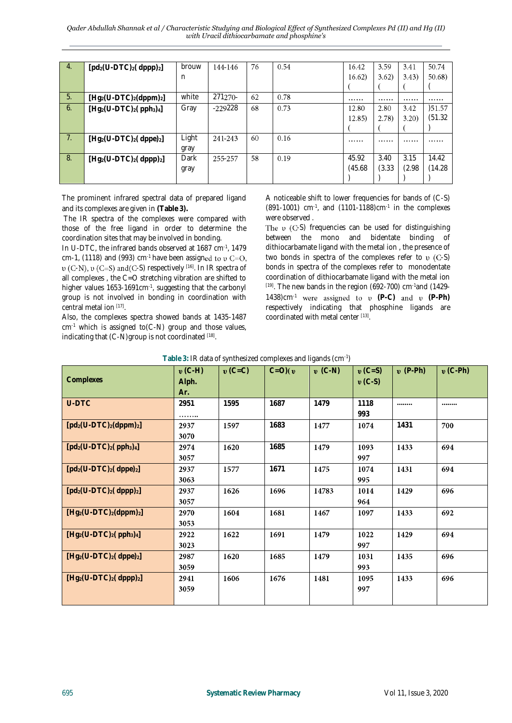*Qader Abdullah Shannak et al / Characteristic Studying and Biological Effect of Synthesized Complexes Pd (II) and Hg (II) with Uracil dithiocarbamate and phosphine's*

| 4.                         | $[pd_2(U-DTC)_2(dppp)_2]$         | brouw | 144-146   | 76 | 0.54 | 16.42   | 3.59   | 3.41   | 50.74  |
|----------------------------|-----------------------------------|-------|-----------|----|------|---------|--------|--------|--------|
|                            |                                   | n     |           |    |      | 16.62)  | 3.62)  | 3.43)  | 50.68) |
|                            |                                   |       |           |    |      |         |        |        |        |
| $-5.$                      | $[Hg_2(U-DTC)_2(dppm)_2]$         | white | 271270-   | 62 | 0.78 |         |        |        |        |
| 6.                         | $[Hg_2(U-DTC)_2(\text{pph}_3)_4]$ | Gray  | $-229228$ | 68 | 0.73 | 12.80   | 2.80   | 3.42   | )51.57 |
|                            |                                   |       |           |    |      | 12.85   | (2.78) | 3.20)  | (51.32 |
|                            |                                   |       |           |    |      |         |        |        |        |
| $\overline{7}$ .           | $[Hg_2(U-DTC)_2(dppe)_2]$         | Light | 241-243   | 60 | 0.16 |         |        |        |        |
|                            |                                   | gray  |           |    |      |         |        |        |        |
| $\overline{\phantom{0}}8.$ | $[Hg_2(U-DTC)_2(dppp)_2]$         | Dark  | 255-257   | 58 | 0.19 | 45.92   | 3.40   | 3.15   | 14.42  |
|                            |                                   | gray  |           |    |      | (45.68) | (3.33) | (2.98) | (14.28 |
|                            |                                   |       |           |    |      |         |        |        |        |

The prominent infrared spectral data of prepared ligand and its complexes are given in **(Table 3).**

The IR spectra of the complexes were compared with those of the free ligand in order to determine the coordination sites that may be involved in bonding.

In U-DTC, the infrared bands observed at 1687 cm-1 , 1479 cm-1, (1118) and (993) cm<sup>-1</sup> have been assigned to  $v = 0$ ,  $v$  (C-N),  $v$  (C=S) and(C-S) respectively [16]. In IR spectra of all complexes , the C=O stretching vibration are shifted to higher values 1653-1691cm<sup>-1</sup>, suggesting that the carbonyl group is not involved in bonding in coordination with central metal ion [17] .

Also, the complexes spectra showed bands at 1435-1487  $cm<sup>-1</sup>$  which is assigned to(C-N) group and those values, indicating that  $(C-N)$ group is not coordinated  $[18]$ .

A noticeable shift to lower frequencies for bands of (C-S)  $(891-1001)$  cm<sup>-1</sup>, and  $(1101-1188)$ cm<sup>-1</sup> in the complexes were observed .

The  $\upsilon$  (C-S) frequencies can be used for distinguishing between the mono and bidentate binding of dithiocarbamate ligand with the metal ion , the presence of two bonds in spectra of the complexes refer to  $v$  (C-S) bonds in spectra of the complexes refer to monodentate coordination of dithiocarbamate ligand with the metal ion  $[19]$ . The new bands in the region (692-700) cm $[1429]$ 1438) $cm^{-1}$  were assigned to  $\nu$  (P-C) and  $\nu$  (P-Ph) respectively indicating that phosphine ligands are coordinated with metal center [13] .

| Complexes                         | $\mathbf{v}$ (C-H)<br>Alph.<br>Ar. | $\mathbf{v}$ (C=C) | $C=O$ )( $v$ | $\mathbf{v}$ (C-N) | $\mathbf{v}$ (C=S)<br>$\mathbf{v}$ (C-S) | $\mathbf{v}$ (P-Ph) | $\mathbf{v}$ (C-Ph) |
|-----------------------------------|------------------------------------|--------------------|--------------|--------------------|------------------------------------------|---------------------|---------------------|
| U-DTC                             | 2951<br>.                          | 1595               | 1687         | 1479               | 1118<br>993                              |                     |                     |
| $[pd_2(U-DTC)_2(dppm)_2]$         | 2937<br>3070                       | 1597               | 1683         | 1477               | 1074                                     | 1431                | 700                 |
| $[pd_2(U-DTC)_2(pph_3)_4]$        | 2974<br>3057                       | 1620               | 1685         | 1479               | 1093<br>997                              | 1433                | 694                 |
| $[pd_2(U-DTC)_2(dppe)_2]$         | 2937<br>3063                       | 1577               | 1671         | 1475               | 1074<br>995                              | 1431                | 694                 |
| $[pd_2(U-DTC)_2(dppp)_2]$         | 2937<br>3057                       | 1626               | 1696         | 14783              | 1014<br>964                              | 1429                | 696                 |
| $[Hg_2(U-DTC)_2(dppm)_2]$         | 2970<br>3053                       | 1604               | 1681         | 1467               | 1097                                     | 1433                | 692                 |
| $[Hg_2(U-DTC)_2(\text{pph}_3)_4]$ | 2922<br>3023                       | 1622               | 1691         | 1479               | 1022<br>997                              | 1429                | 694                 |
| $[Hg_2(U-DTC)_2(dppe)_2]$         | 2987<br>3059                       | 1620               | 1685         | 1479               | 1031<br>993                              | 1435                | 696                 |
| $[Hg_2(U-DTC)_2(dppp)_2]$         | 2941<br>3059                       | 1606               | 1676         | 1481               | 1095<br>997                              | 1433                | 696                 |

| Table 3: IR data of synthesized complexes and ligands (cm-1) |  |  |
|--------------------------------------------------------------|--|--|
|--------------------------------------------------------------|--|--|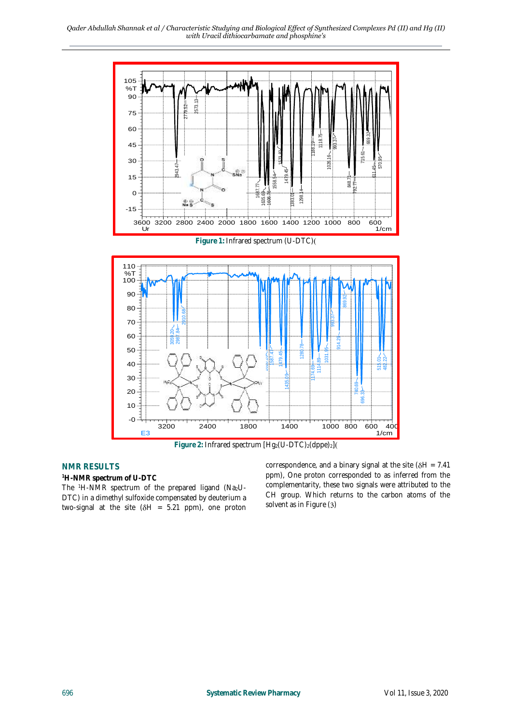*Qader Abdullah Shannak et al / Characteristic Studying and Biological Effect of Synthesized Complexes Pd (II) and Hg (II) with Uracil dithiocarbamate and phosphine's*



**NMR RESULTS**

**<sup>1</sup>H-NMR spectrum of U-DTC**

The <sup>1</sup>H-NMR spectrum of the prepared ligand (Na<sub>2</sub>U-DTC) in a dimethyl sulfoxide compensated by deuterium a two-signal at the site  $(\delta H = 5.21$  ppm), one proton correspondence, and a binary signal at the site ( $\delta H = 7.41$ ) ppm), One proton corresponded to as inferred from the complementarity, these two signals were attributed to the CH group. Which returns to the carbon atoms of the solvent as in Figure (3)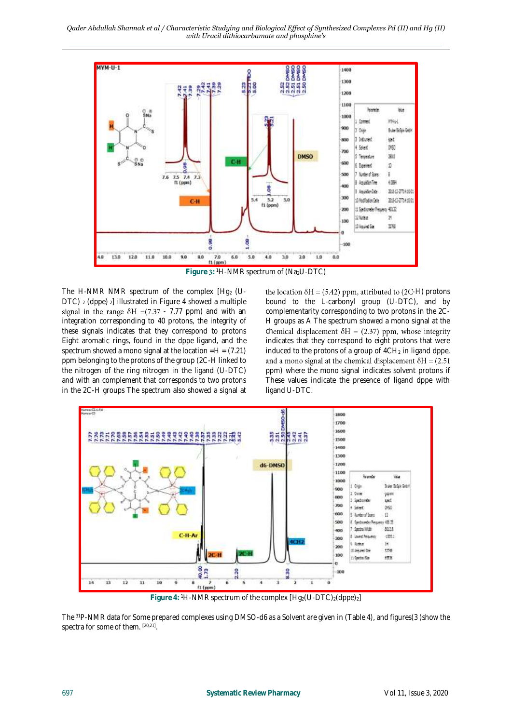

Figure 3: <sup>1</sup>H-NMR spectrum of (Na<sub>2</sub>U-DTC)

The H-NMR NMR spectrum of the complex  $[Hq<sub>2</sub> (U DTC$ )  $2$  (dppe)  $2$ ] illustrated in Figure 4 showed a multiple signal in the range  $\delta H = (7.37 - 7.77 \text{ ppm})$  and with an integration corresponding to 40 protons, the integrity of these signals indicates that they correspond to protons Eight aromatic rings, found in the dppe ligand, and the spectrum showed a mono signal at the location  $=H = (7.21)$ ppm belonging to the protons of the group (2C-H linked to the nitrogen of the ring nitrogen in the ligand (U-DTC) and with an complement that corresponds to two protons in the 2C-H groups The spectrum also showed a signal at

the location  $\delta H = (5.42)$  ppm, attributed to (2C-H) protons bound to the L-carbonyl group (U-DTC), and by complementarity corresponding to two protons in the 2C-H groups as A The spectrum showed a mono signal at the chemical displacement  $\delta H = (2.37)$  ppm, whose integrity indicates that they correspond to eight protons that were induced to the protons of a group of 4CH<sub>2</sub> in ligand dppe, and a mono signal at the chemical displacement  $\delta H = (2.51)$ ppm) where the mono signal indicates solvent protons if These values indicate the presence of ligand dppe with ligand U-DTC.



Figure 4: <sup>1</sup>H-NMR spectrum of the complex  $[Hq_2(U-DTC)_2(dppe)_2]$ 

The <sup>31</sup>P-NMR data for Some prepared complexes using DMSO-d6 as a Solvent are given in (Table 4), and figures(3 )show the spectra for some of them. [20,21] .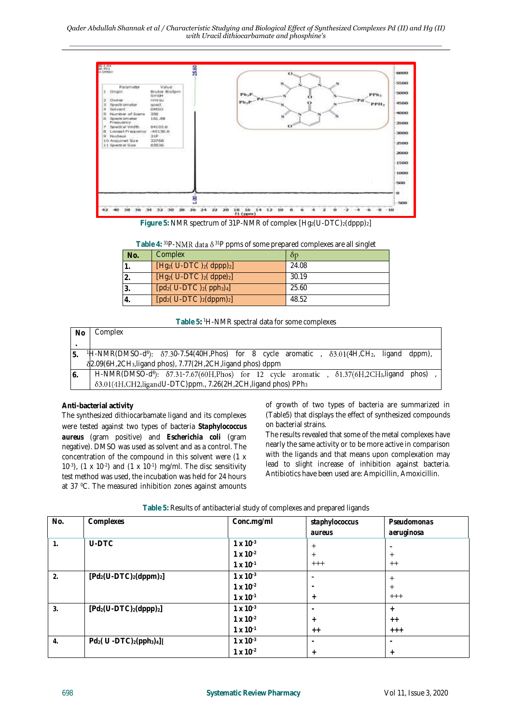

Figure 5: NMR spectrum of 31P-NMR of complex  $[Hq_2(U-DTC)_2(dppp)_2]$ 

| Table 4: $^{31}P\text{-NMR}$ data $\delta^{31}P$ ppms of some prepared complexes are all singlet |  |  |  |  |
|--------------------------------------------------------------------------------------------------|--|--|--|--|
|--------------------------------------------------------------------------------------------------|--|--|--|--|

| No. | Complex                    | δp    |
|-----|----------------------------|-------|
|     |                            |       |
|     | $[Hg_2(U-DTC)]_2(dppp)_2]$ | 24.08 |
|     | $[Hg_2(U-DTC)_2(dppe)_2]$  | 30.19 |
|     | $[pd_2(U-DTC)_2(pph_3)_4]$ | 25.60 |
|     | $[pd_2(U-DTC)_2(dppm)_2]$  | 48.52 |

**Table 5:** <sup>1</sup>H-NMR spectral data for some complexes

| No.            | Complex                                                                                                                                           |  |  |  |  |  |  |  |
|----------------|---------------------------------------------------------------------------------------------------------------------------------------------------|--|--|--|--|--|--|--|
|                |                                                                                                                                                   |  |  |  |  |  |  |  |
|                | <sup>1</sup> H-NMR(DMSO-d <sup>6</sup> ): $\delta$ 7.30-7.54(40H,Phos) for 8 cycle aromatic , $\delta$ 3.01(4H,CH <sub>2</sub> , ligand<br>dppm), |  |  |  |  |  |  |  |
|                | 82.09(6H,2CH <sub>3</sub> , ligand phos), 7.77(2H, 2CH, ligand phos) dppm                                                                         |  |  |  |  |  |  |  |
| $\overline{6}$ | H-NMR(DMSO-d <sup>6</sup> ): $\delta$ 7.31-7.67(60H,Phos) for 12 cycle aromatic, $\delta$ 1.37(6H,2CH <sub>3</sub> ,ligand phos)                  |  |  |  |  |  |  |  |
|                | 83.01(4H,CH2,ligandU-DTC)ppm., 7.26(2H,2CH,ligand phos) PPh <sub>3</sub>                                                                          |  |  |  |  |  |  |  |

#### **Anti-bacterial activity**

The synthesized dithiocarbamate ligand and its complexes were tested against two types of bacteria *Staphylococcus aureus* (gram positive) and *Escherichia coli* (gram negative). DMSO was used as solvent and as a control. The concentration of the compound in this solvent were (1 x  $10^{-3}$ ),  $(1 \times 10^{-2})$  and  $(1 \times 10^{-1})$  mg/ml. The disc sensitivity test method was used, the incubation was held for 24 hours at 37 <sup>0</sup>C. The measured inhibition zones against amounts of growth of two types of bacteria are summarized in (Table5) that displays the effect of synthesized compounds on bacterial strains.

The results revealed that some of the metal complexes have nearly the same activity or to be more active in comparison with the ligands and that means upon complexation may lead to slight increase of inhibition against bacteria. Antibiotics have been used are: Ampicillin, Amoxicillin.

| No. | Complexes                         | Conc.mg/ml         | staphylococcus | Pseudomonas |
|-----|-----------------------------------|--------------------|----------------|-------------|
|     |                                   |                    | aureus         | aeruginosa  |
| 1.  | U-DTC                             | $1 \times 10^{-3}$ | $^{+}$         |             |
|     |                                   | $1 \times 10^{-2}$ | $\pm$          | $^{+}$      |
|     |                                   | $1 \times 10^{-1}$ | $^{+++}$       | $^{++}$     |
| 2.  | $[Pd_2(U-DTC)_2(dppm)_2]$         | $1 \times 10^{-3}$ |                | $\pm$       |
|     |                                   | $1 \times 10^{-2}$ |                | $^{+}$      |
|     |                                   | $1 \times 10^{-1}$ | $^{+}$         | $^{+++}$    |
| 3.  | $[Pd_2(U-DTC)_2(dppp)_2]$         | $1 \times 10^{-3}$ |                | $^{+}$      |
|     |                                   | $1 \times 10^{-2}$ | $^{+}$         | $++$        |
|     |                                   | $1 \times 10^{-1}$ | $++$           | $++++$      |
| 4.  | $Pd_2(U - DTC)_{2}(pph_3)_{4}]$ [ | $1 \times 10^{-3}$ |                |             |
|     |                                   | $1 \times 10^{-2}$ | $^{+}$         | $+$         |

#### **Table 5:** Results of antibacterial study of complexes and prepared ligands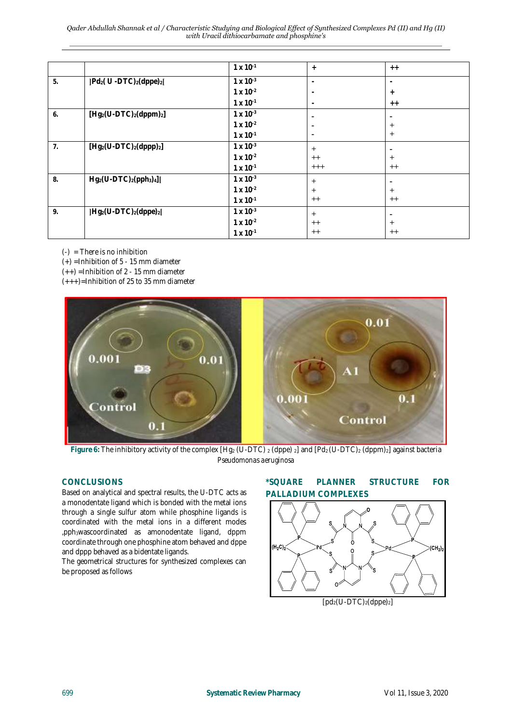*Qader Abdullah Shannak et al / Characteristic Studying and Biological Effect of Synthesized Complexes Pd (II) and Hg (II) with Uracil dithiocarbamate and phosphine's*

|                |                                                    | $1 \times 10^{-1}$ | $+$                          | $++$    |
|----------------|----------------------------------------------------|--------------------|------------------------------|---------|
| 5.             | $Pd_2(U - DTC)$ <sub>2</sub> (dppe) <sub>2</sub> [ | $1 \times 10^{-3}$ |                              |         |
|                |                                                    | $1 \times 10^{-2}$ | ٠                            | $+$     |
|                |                                                    | $1 \times 10^{-1}$ | ٠                            | $+ +$   |
| 6.             | $[Hg_2(U-DTC)_2(dppm)_2]$                          | $1 \times 10^{-3}$ |                              |         |
|                |                                                    | $1 \times 10^{-2}$ |                              | $^{+}$  |
|                |                                                    | $1 \times 10^{-1}$ | $\qquad \qquad \blacksquare$ | $+$     |
| 7 <sub>1</sub> | $[Hg_2(U-DTC)_2(dppp)_2]$                          | $1 \times 10^{-3}$ | $^{+}$                       |         |
|                |                                                    | $1 \times 10^{-2}$ | $^{++}$                      | $^{+}$  |
|                |                                                    | $1 \times 10^{-1}$ | $^{+++}$                     | $^{++}$ |
| 8.             | $Hg_2(U-DTC)_2(pph_3)_4$ ][                        | $1 \times 10^{-3}$ | $^{+}$                       |         |
|                |                                                    | $1 \times 10^{-2}$ | $\pm$                        | $+$     |
|                |                                                    | $1 \times 10^{-1}$ | $^{++}$                      | $^{++}$ |
| 9.             | $Hg_2(U-DTC)_2(dppe)_2$                            | $1 \times 10^{-3}$ | $^{+}$                       |         |
|                |                                                    | $1 \times 10^{-2}$ | $^{++}$                      | $^{+}$  |
|                |                                                    | $1 \times 10^{-1}$ | $^{++}$                      | $^{++}$ |

 $(-)$  = There is no inhibition

 $(+)$  =Inhibition of 5 - 15 mm diameter

 $(++)$  =Inhibition of 2 - 15 mm diameter

 $(+++)$ =Inhibition of 25 to 35 mm diameter



Figure 6: The inhibitory activity of the complex [Hg<sub>2</sub> (U-DTC) <sub>2</sub> (dppe) <sub>2</sub>] and [Pd<sub>2</sub> (U-DTC)<sub>2</sub> (dppm)<sub>2</sub>] against bacteria *Pseudomonas aeruginosa*

#### **CONCLUSIONS**

Based on analytical and spectral results, the U-DTC acts as a monodentate ligand which is bonded with the metal ions through a single sulfur atom while phosphine ligands is coordinated with the metal ions in a different modes ,pph3wascoordinated as amonodentate ligand, dppm coordinate through one phosphine atom behaved and dppe and dppp behaved as a bidentate ligands.

The geometrical structures for synthesized complexes can be proposed as follows

# **\*SQUARE PLANNER STRUCTURE FOR PALLADIUM COMPLEXES**

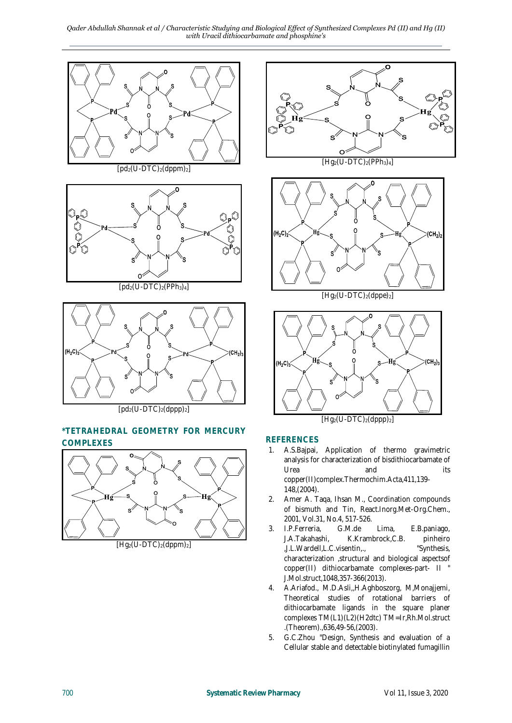*Qader Abdullah Shannak et al / Characteristic Studying and Biological Effect of Synthesized Complexes Pd (II) and Hg (II) with Uracil dithiocarbamate and phosphine's*



# **\*TETRAHEDRAL GEOMETRY FOR MERCURY COMPLEXES**



 $[Hq_2(U-DTC)_2(dppm)_2]$ 



## **REFERENCES**

- 1. A.S.Bajpai, Application of thermo gravimetric analysis for characterization of bisdithiocarbamate of Urea and its copper(II)complex.Thermochim.Acta,411,139- 148,(2004).
- 2. Amer A. Taqa, Ihsan M., Coordination compounds of bismuth and Tin, React.Inorg.Met-Org.Chem., 2001, Vol.31, No.4, 517-526.
- 3. I.P.Ferreria, G.M.de Lima, E.B.paniago, J.A.Takahashi, K.Krambrock,C.B. pinheiro<br>,J.L.Wardell,L.C.visentin,., "Synthesis, ,J.L.Wardell,L.C.visentin,., characterization ,structural and biological aspectsof copper(II) dithiocarbamate complexes-part- II " J.Mol.struct,1048,357-366(2013).
- 4. A.Ariafod., M.D.Asli,,H.Aghboszorg, M,Monajjemi, Theoretical studies of rotational barriers of dithiocarbamate ligands in the square planer complexes TM(L1)(L2)(H2dtc) TM=Ir,Rh.Mol.struct .(Theorem).,636,49-56,(2003).
- 5. G.C.Zhou "Design, Synthesis and evaluation of a Cellular stable and detectable biotinylated fumagillin